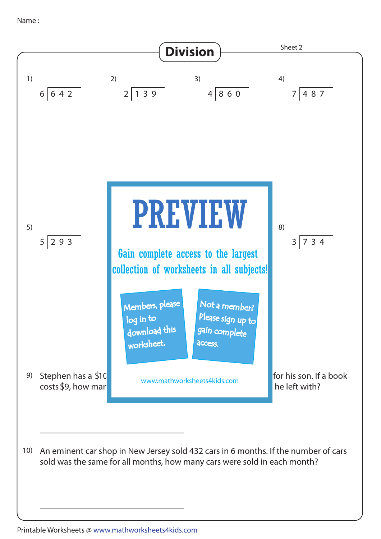